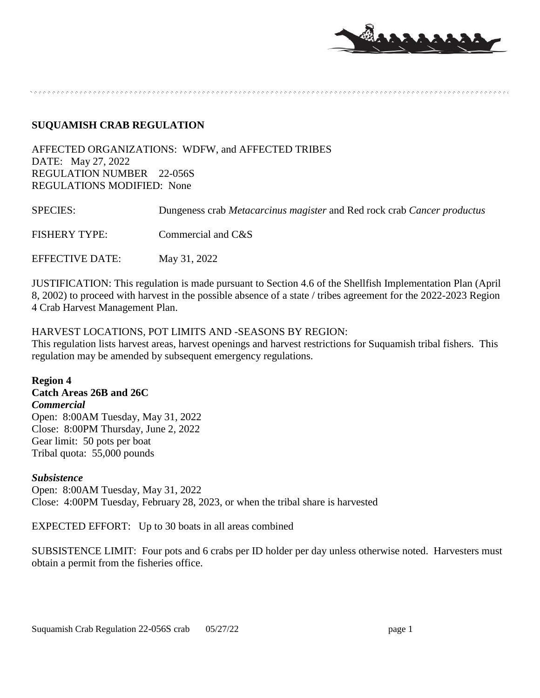

#### **SUQUAMISH CRAB REGULATION**

AFFECTED ORGANIZATIONS: WDFW, and AFFECTED TRIBES DATE: May 27, 2022 REGULATION NUMBER 22-056S REGULATIONS MODIFIED: None

| <b>SPECIES:</b>      | Dungeness crab Metacarcinus magister and Red rock crab Cancer productus |
|----------------------|-------------------------------------------------------------------------|
| <b>FISHERY TYPE:</b> | Commercial and C&S                                                      |
| EFFECTIVE DATE:      | May 31, 2022                                                            |

JUSTIFICATION: This regulation is made pursuant to Section 4.6 of the Shellfish Implementation Plan (April 8, 2002) to proceed with harvest in the possible absence of a state / tribes agreement for the 2022-2023 Region 4 Crab Harvest Management Plan.

### HARVEST LOCATIONS, POT LIMITS AND -SEASONS BY REGION:

This regulation lists harvest areas, harvest openings and harvest restrictions for Suquamish tribal fishers. This regulation may be amended by subsequent emergency regulations.

**Region 4 Catch Areas 26B and 26C** *Commercial* Open: 8:00AM Tuesday, May 31, 2022 Close: 8:00PM Thursday, June 2, 2022 Gear limit: 50 pots per boat Tribal quota: 55,000 pounds

#### *Subsistence*

Open: 8:00AM Tuesday, May 31, 2022 Close: 4:00PM Tuesday, February 28, 2023, or when the tribal share is harvested

EXPECTED EFFORT: Up to 30 boats in all areas combined

SUBSISTENCE LIMIT:Four pots and 6 crabs per ID holder per day unless otherwise noted. Harvesters must obtain a permit from the fisheries office.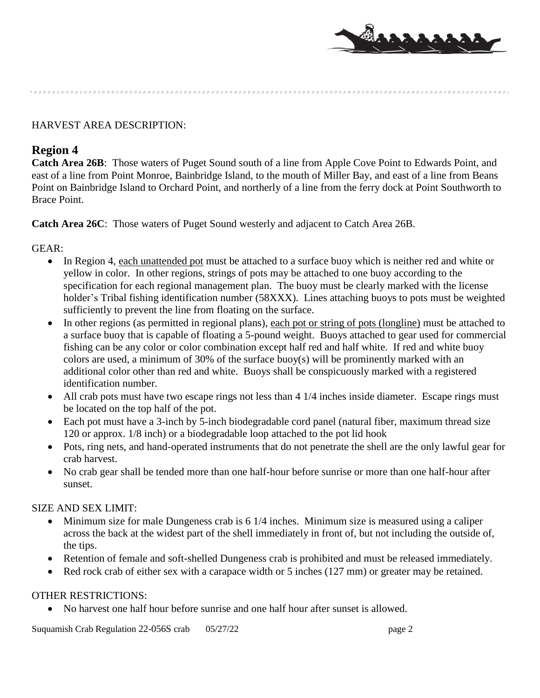

HARVEST AREA DESCRIPTION:

# **Region 4**

**Catch Area 26B**: Those waters of Puget Sound south of a line from Apple Cove Point to Edwards Point, and east of a line from Point Monroe, Bainbridge Island, to the mouth of Miller Bay, and east of a line from Beans Point on Bainbridge Island to Orchard Point, and northerly of a line from the ferry dock at Point Southworth to Brace Point.

**Catch Area 26C**: Those waters of Puget Sound westerly and adjacent to Catch Area 26B.

## GEAR:

- In Region 4, each unattended pot must be attached to a surface buoy which is neither red and white or yellow in color. In other regions, strings of pots may be attached to one buoy according to the specification for each regional management plan. The buoy must be clearly marked with the license holder's Tribal fishing identification number (58XXX). Lines attaching buoys to pots must be weighted sufficiently to prevent the line from floating on the surface.
- In other regions (as permitted in regional plans), each pot or string of pots (longline) must be attached to a surface buoy that is capable of floating a 5-pound weight. Buoys attached to gear used for commercial fishing can be any color or color combination except half red and half white. If red and white buoy colors are used, a minimum of 30% of the surface buoy(s) will be prominently marked with an additional color other than red and white. Buoys shall be conspicuously marked with a registered identification number.
- All crab pots must have two escape rings not less than 4 1/4 inches inside diameter. Escape rings must be located on the top half of the pot.
- Each pot must have a 3-inch by 5-inch biodegradable cord panel (natural fiber, maximum thread size 120 or approx. 1/8 inch) or a biodegradable loop attached to the pot lid hook
- Pots, ring nets, and hand-operated instruments that do not penetrate the shell are the only lawful gear for crab harvest.
- No crab gear shall be tended more than one half-hour before sunrise or more than one half-hour after sunset.

## SIZE AND SEX LIMIT:

- Minimum size for male Dungeness crab is 6 1/4 inches. Minimum size is measured using a caliper across the back at the widest part of the shell immediately in front of, but not including the outside of, the tips.
- Retention of female and soft-shelled Dungeness crab is prohibited and must be released immediately.
- Red rock crab of either sex with a carapace width or 5 inches (127 mm) or greater may be retained.

## OTHER RESTRICTIONS:

No harvest one half hour before sunrise and one half hour after sunset is allowed.

Suquamish Crab Regulation 22-056S crab 05/27/22 page 2